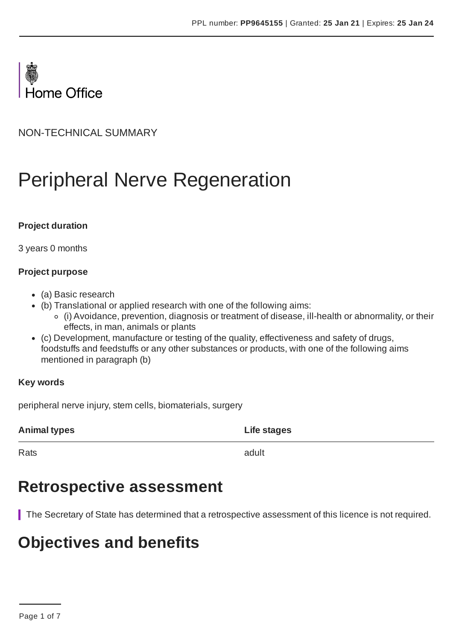

NON-TECHNICAL SUMMARY

# Peripheral Nerve Regeneration

#### **Project duration**

3 years 0 months

#### **Project purpose**

- (a) Basic research
- (b) Translational or applied research with one of the following aims:
	- (i) Avoidance, prevention, diagnosis or treatment of disease, ill-health or abnormality, or their effects, in man, animals or plants
- (c) Development, manufacture or testing of the quality, effectiveness and safety of drugs, foodstuffs and feedstuffs or any other substances or products, with one of the following aims mentioned in paragraph (b)

#### **Key words**

peripheral nerve injury, stem cells, biomaterials, surgery

**Animal types Life stages**

Rats and the contract of the contract of the contract of the contract of the contract of the contract of the contract of the contract of the contract of the contract of the contract of the contract of the contract of the c

### **Retrospective assessment**

The Secretary of State has determined that a retrospective assessment of this licence is not required.

# **Objectives and benefits**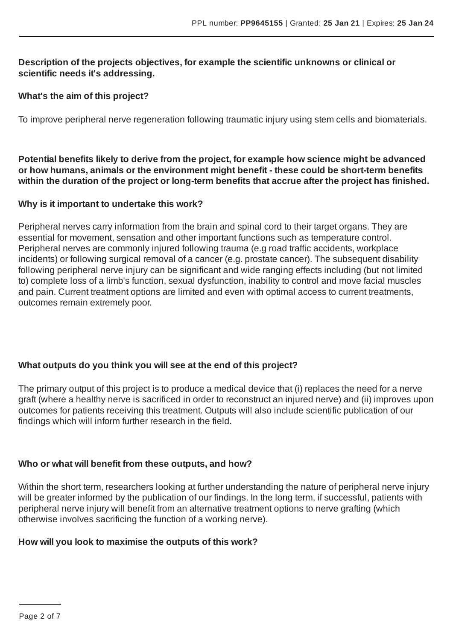#### **Description of the projects objectives, for example the scientific unknowns or clinical or scientific needs it's addressing.**

#### **What's the aim of this project?**

To improve peripheral nerve regeneration following traumatic injury using stem cells and biomaterials.

**Potential benefits likely to derive from the project, for example how science might be advanced or how humans, animals or the environment might benefit - these could be short-term benefits within the duration of the project or long-term benefits that accrue after the project has finished.**

#### **Why is it important to undertake this work?**

Peripheral nerves carry information from the brain and spinal cord to their target organs. They are essential for movement, sensation and other important functions such as temperature control. Peripheral nerves are commonly injured following trauma (e.g road traffic accidents, workplace incidents) or following surgical removal of a cancer (e.g. prostate cancer). The subsequent disability following peripheral nerve injury can be significant and wide ranging effects including (but not limited to) complete loss of a limb's function, sexual dysfunction, inability to control and move facial muscles and pain. Current treatment options are limited and even with optimal access to current treatments, outcomes remain extremely poor.

#### **What outputs do you think you will see at the end of this project?**

The primary output of this project is to produce a medical device that (i) replaces the need for a nerve graft (where a healthy nerve is sacrificed in order to reconstruct an injured nerve) and (ii) improves upon outcomes for patients receiving this treatment. Outputs will also include scientific publication of our findings which will inform further research in the field.

#### **Who or what will benefit from these outputs, and how?**

Within the short term, researchers looking at further understanding the nature of peripheral nerve injury will be greater informed by the publication of our findings. In the long term, if successful, patients with peripheral nerve injury will benefit from an alternative treatment options to nerve grafting (which otherwise involves sacrificing the function of a working nerve).

#### **How will you look to maximise the outputs of this work?**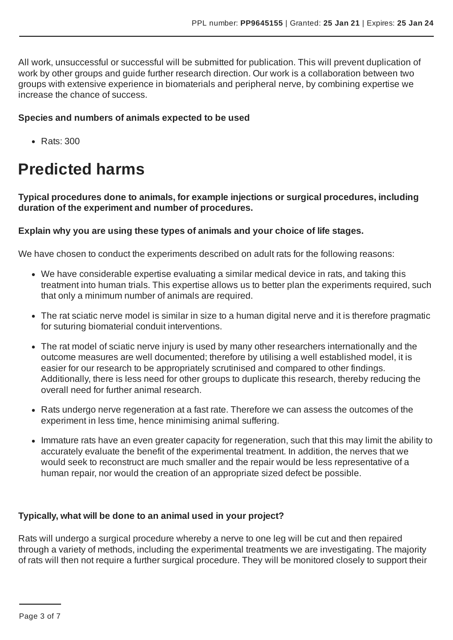All work, unsuccessful or successful will be submitted for publication. This will prevent duplication of work by other groups and guide further research direction. Our work is a collaboration between two groups with extensive experience in biomaterials and peripheral nerve, by combining expertise we increase the chance of success.

#### **Species and numbers of animals expected to be used**

• Rats: 300

# **Predicted harms**

**Typical procedures done to animals, for example injections or surgical procedures, including duration of the experiment and number of procedures.**

#### **Explain why you are using these types of animals and your choice of life stages.**

We have chosen to conduct the experiments described on adult rats for the following reasons:

- We have considerable expertise evaluating a similar medical device in rats, and taking this treatment into human trials. This expertise allows us to better plan the experiments required, such that only a minimum number of animals are required.
- The rat sciatic nerve model is similar in size to a human digital nerve and it is therefore pragmatic for suturing biomaterial conduit interventions.
- The rat model of sciatic nerve injury is used by many other researchers internationally and the outcome measures are well documented; therefore by utilising a well established model, it is easier for our research to be appropriately scrutinised and compared to other findings. Additionally, there is less need for other groups to duplicate this research, thereby reducing the overall need for further animal research.
- Rats undergo nerve regeneration at a fast rate. Therefore we can assess the outcomes of the experiment in less time, hence minimising animal suffering.
- Immature rats have an even greater capacity for regeneration, such that this may limit the ability to accurately evaluate the benefit of the experimental treatment. In addition, the nerves that we would seek to reconstruct are much smaller and the repair would be less representative of a human repair, nor would the creation of an appropriate sized defect be possible.

#### **Typically, what will be done to an animal used in your project?**

Rats will undergo a surgical procedure whereby a nerve to one leg will be cut and then repaired through a variety of methods, including the experimental treatments we are investigating. The majority of rats will then not require a further surgical procedure. They will be monitored closely to support their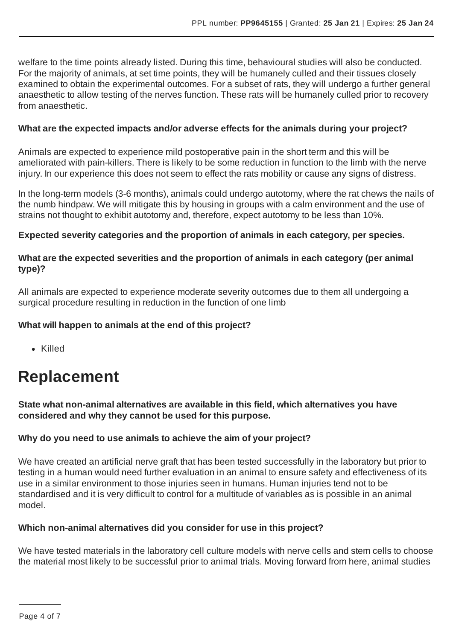welfare to the time points already listed. During this time, behavioural studies will also be conducted. For the majority of animals, at set time points, they will be humanely culled and their tissues closely examined to obtain the experimental outcomes. For a subset of rats, they will undergo a further general anaesthetic to allow testing of the nerves function. These rats will be humanely culled prior to recovery from anaesthetic.

#### **What are the expected impacts and/or adverse effects for the animals during your project?**

Animals are expected to experience mild postoperative pain in the short term and this will be ameliorated with pain-killers. There is likely to be some reduction in function to the limb with the nerve injury. In our experience this does not seem to effect the rats mobility or cause any signs of distress.

In the long-term models (3-6 months), animals could undergo autotomy, where the rat chews the nails of the numb hindpaw. We will mitigate this by housing in groups with a calm environment and the use of strains not thought to exhibit autotomy and, therefore, expect autotomy to be less than 10%.

#### **Expected severity categories and the proportion of animals in each category, per species.**

#### **What are the expected severities and the proportion of animals in each category (per animal type)?**

All animals are expected to experience moderate severity outcomes due to them all undergoing a surgical procedure resulting in reduction in the function of one limb

#### **What will happen to animals at the end of this project?**

Killed

# **Replacement**

**State what non-animal alternatives are available in this field, which alternatives you have considered and why they cannot be used for this purpose.**

#### **Why do you need to use animals to achieve the aim of your project?**

We have created an artificial nerve graft that has been tested successfully in the laboratory but prior to testing in a human would need further evaluation in an animal to ensure safety and effectiveness of its use in a similar environment to those injuries seen in humans. Human injuries tend not to be standardised and it is very difficult to control for a multitude of variables as is possible in an animal model.

#### **Which non-animal alternatives did you consider for use in this project?**

We have tested materials in the laboratory cell culture models with nerve cells and stem cells to choose the material most likely to be successful prior to animal trials. Moving forward from here, animal studies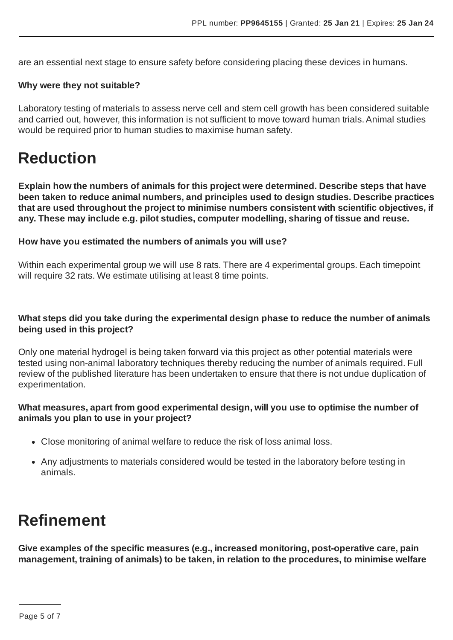are an essential next stage to ensure safety before considering placing these devices in humans.

#### **Why were they not suitable?**

Laboratory testing of materials to assess nerve cell and stem cell growth has been considered suitable and carried out, however, this information is not sufficient to move toward human trials.Animal studies would be required prior to human studies to maximise human safety.

### **Reduction**

**Explain how the numbers of animals for this project were determined. Describe steps that have been taken to reduce animal numbers, and principles used to design studies. Describe practices that are used throughout the project to minimise numbers consistent with scientific objectives, if any. These may include e.g. pilot studies, computer modelling, sharing of tissue and reuse.**

#### **How have you estimated the numbers of animals you will use?**

Within each experimental group we will use 8 rats. There are 4 experimental groups. Each timepoint will require 32 rats. We estimate utilising at least 8 time points.

#### **What steps did you take during the experimental design phase to reduce the number of animals being used in this project?**

Only one material hydrogel is being taken forward via this project as other potential materials were tested using non-animal laboratory techniques thereby reducing the number of animals required. Full review of the published literature has been undertaken to ensure that there is not undue duplication of experimentation.

#### **What measures, apart from good experimental design, will you use to optimise the number of animals you plan to use in your project?**

- Close monitoring of animal welfare to reduce the risk of loss animal loss.
- Any adjustments to materials considered would be tested in the laboratory before testing in animals.

### **Refinement**

**Give examples of the specific measures (e.g., increased monitoring, post-operative care, pain management, training of animals) to be taken, in relation to the procedures, to minimise welfare**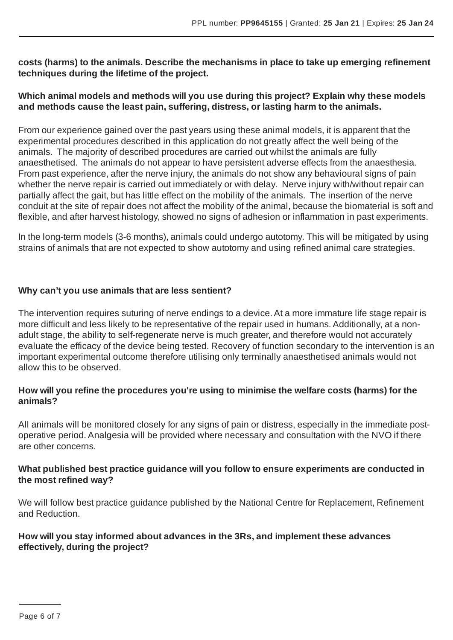**costs (harms) to the animals. Describe the mechanisms in place to take up emerging refinement techniques during the lifetime of the project.**

#### **Which animal models and methods will you use during this project? Explain why these models and methods cause the least pain, suffering, distress, or lasting harm to the animals.**

From our experience gained over the past years using these animal models, it is apparent that the experimental procedures described in this application do not greatly affect the well being of the animals. The majority of described procedures are carried out whilst the animals are fully anaesthetised. The animals do not appear to have persistent adverse effects from the anaesthesia. From past experience, after the nerve injury, the animals do not show any behavioural signs of pain whether the nerve repair is carried out immediately or with delay. Nerve injury with/without repair can partially affect the gait, but has little effect on the mobility of the animals. The insertion of the nerve conduit at the site of repair does not affect the mobility of the animal, because the biomaterial is soft and flexible, and after harvest histology, showed no signs of adhesion or inflammation in past experiments.

In the long-term models (3-6 months), animals could undergo autotomy. This will be mitigated by using strains of animals that are not expected to show autotomy and using refined animal care strategies.

#### **Why can't you use animals that are less sentient?**

The intervention requires suturing of nerve endings to a device.At a more immature life stage repair is more difficult and less likely to be representative of the repair used in humans. Additionally, at a nonadult stage, the ability to self-regenerate nerve is much greater, and therefore would not accurately evaluate the efficacy of the device being tested. Recovery of function secondary to the intervention is an important experimental outcome therefore utilising only terminally anaesthetised animals would not allow this to be observed.

#### **How will you refine the procedures you're using to minimise the welfare costs (harms) for the animals?**

All animals will be monitored closely for any signs of pain or distress, especially in the immediate postoperative period.Analgesia will be provided where necessary and consultation with the NVO if there are other concerns.

#### **What published best practice guidance will you follow to ensure experiments are conducted in the most refined way?**

We will follow best practice guidance published by the National Centre for Replacement, Refinement and Reduction.

#### **How will you stay informed about advances in the 3Rs, and implement these advances effectively, during the project?**